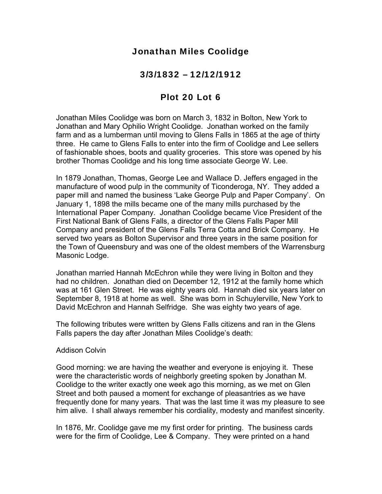# Jonathan Miles Coolidge

## 3/3/1832 – 12/12/1912

# Plot 20 Lot 6

Jonathan Miles Coolidge was born on March 3, 1832 in Bolton, New York to Jonathan and Mary Ophilio Wright Coolidge. Jonathan worked on the family farm and as a lumberman until moving to Glens Falls in 1865 at the age of thirty three. He came to Glens Falls to enter into the firm of Coolidge and Lee sellers of fashionable shoes, boots and quality groceries. This store was opened by his brother Thomas Coolidge and his long time associate George W. Lee.

In 1879 Jonathan, Thomas, George Lee and Wallace D. Jeffers engaged in the manufacture of wood pulp in the community of Ticonderoga, NY. They added a paper mill and named the business 'Lake George Pulp and Paper Company'. On January 1, 1898 the mills became one of the many mills purchased by the International Paper Company. Jonathan Coolidge became Vice President of the First National Bank of Glens Falls, a director of the Glens Falls Paper Mill Company and president of the Glens Falls Terra Cotta and Brick Company. He served two years as Bolton Supervisor and three years in the same position for the Town of Queensbury and was one of the oldest members of the Warrensburg Masonic Lodge.

Jonathan married Hannah McEchron while they were living in Bolton and they had no children. Jonathan died on December 12, 1912 at the family home which was at 161 Glen Street. He was eighty years old. Hannah died six years later on September 8, 1918 at home as well. She was born in Schuylerville, New York to David McEchron and Hannah Selfridge. She was eighty two years of age.

The following tributes were written by Glens Falls citizens and ran in the Glens Falls papers the day after Jonathan Miles Coolidge's death:

#### Addison Colvin

Good morning: we are having the weather and everyone is enjoying it. These were the characteristic words of neighborly greeting spoken by Jonathan M. Coolidge to the writer exactly one week ago this morning, as we met on Glen Street and both paused a moment for exchange of pleasantries as we have frequently done for many years. That was the last time it was my pleasure to see him alive. I shall always remember his cordiality, modesty and manifest sincerity.

In 1876, Mr. Coolidge gave me my first order for printing. The business cards were for the firm of Coolidge, Lee & Company. They were printed on a hand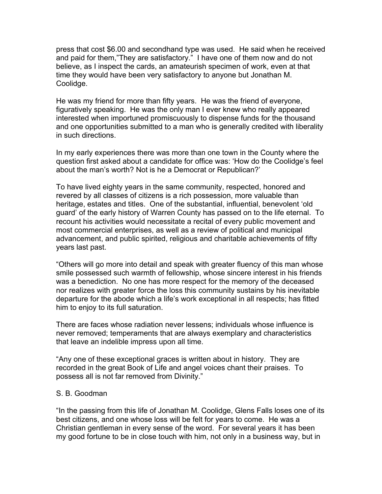press that cost \$6.00 and secondhand type was used. He said when he received and paid for them,"They are satisfactory." I have one of them now and do not believe, as I inspect the cards, an amateurish specimen of work, even at that time they would have been very satisfactory to anyone but Jonathan M. Coolidge.

He was my friend for more than fifty years. He was the friend of everyone, figuratively speaking. He was the only man I ever knew who really appeared interested when importuned promiscuously to dispense funds for the thousand and one opportunities submitted to a man who is generally credited with liberality in such directions.

In my early experiences there was more than one town in the County where the question first asked about a candidate for office was: 'How do the Coolidge's feel about the man's worth? Not is he a Democrat or Republican?'

To have lived eighty years in the same community, respected, honored and revered by all classes of citizens is a rich possession, more valuable than heritage, estates and titles. One of the substantial, influential, benevolent 'old guard' of the early history of Warren County has passed on to the life eternal. To recount his activities would necessitate a recital of every public movement and most commercial enterprises, as well as a review of political and municipal advancement, and public spirited, religious and charitable achievements of fifty years last past.

"Others will go more into detail and speak with greater fluency of this man whose smile possessed such warmth of fellowship, whose sincere interest in his friends was a benediction. No one has more respect for the memory of the deceased nor realizes with greater force the loss this community sustains by his inevitable departure for the abode which a life's work exceptional in all respects; has fitted him to enjoy to its full saturation.

There are faces whose radiation never lessens; individuals whose influence is never removed; temperaments that are always exemplary and characteristics that leave an indelible impress upon all time.

"Any one of these exceptional graces is written about in history. They are recorded in the great Book of Life and angel voices chant their praises. To possess all is not far removed from Divinity."

### S. B. Goodman

"In the passing from this life of Jonathan M. Coolidge, Glens Falls loses one of its best citizens, and one whose loss will be felt for years to come. He was a Christian gentleman in every sense of the word. For several years it has been my good fortune to be in close touch with him, not only in a business way, but in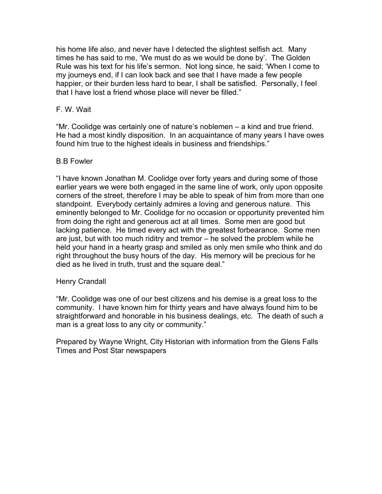his home life also, and never have I detected the slightest selfish act. Many times he has said to me, 'We must do as we would be done by'. The Golden Rule was his text for his life's sermon. Not long since, he said; 'When I come to my journeys end, if I can look back and see that I have made a few people happier, or their burden less hard to bear, I shall be satisfied. Personally, I feel that I have lost a friend whose place will never be filled."

### F. W. Wait

"Mr. Coolidge was certainly one of nature's noblemen – a kind and true friend. He had a most kindly disposition. In an acquaintance of many years I have owes found him true to the highest ideals in business and friendships."

#### B.B Fowler

"I have known Jonathan M. Coolidge over forty years and during some of those earlier years we were both engaged in the same line of work, only upon opposite corners of the street, therefore I may be able to speak of him from more than one standpoint. Everybody certainly admires a loving and generous nature. This eminently belonged to Mr. Coolidge for no occasion or opportunity prevented him from doing the right and generous act at all times. Some men are good but lacking patience. He timed every act with the greatest forbearance. Some men are just, but with too much riditry and tremor – he solved the problem while he held your hand in a hearty grasp and smiled as only men smile who think and do right throughout the busy hours of the day. His memory will be precious for he died as he lived in truth, trust and the square deal."

#### Henry Crandall

"Mr. Coolidge was one of our best citizens and his demise is a great loss to the community. I have known him for thirty years and have always found him to be straightforward and honorable in his business dealings, etc. The death of such a man is a great loss to any city or community."

Prepared by Wayne Wright, City Historian with information from the Glens Falls Times and Post Star newspapers